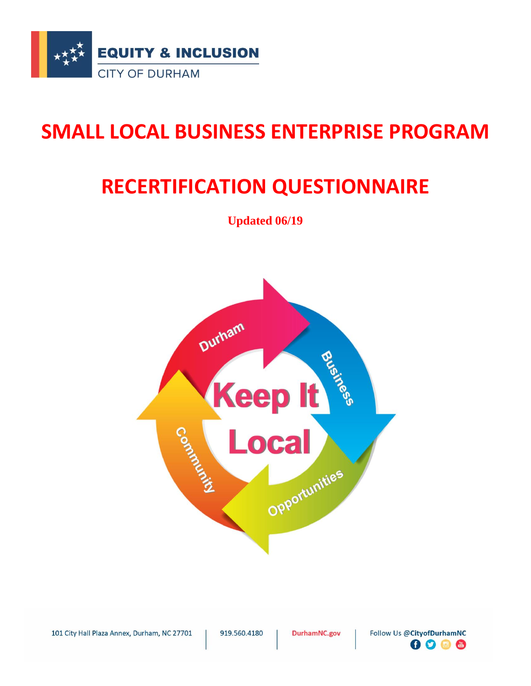

# **SMALL LOCAL BUSINESS ENTERPRISE PROGRAM**

# **RECERTIFICATION QUESTIONNAIRE**

**Updated 06/19**



101 City Hall Plaza Annex, Durham, NC 27701

919.560.4180

DurhamNC.gov

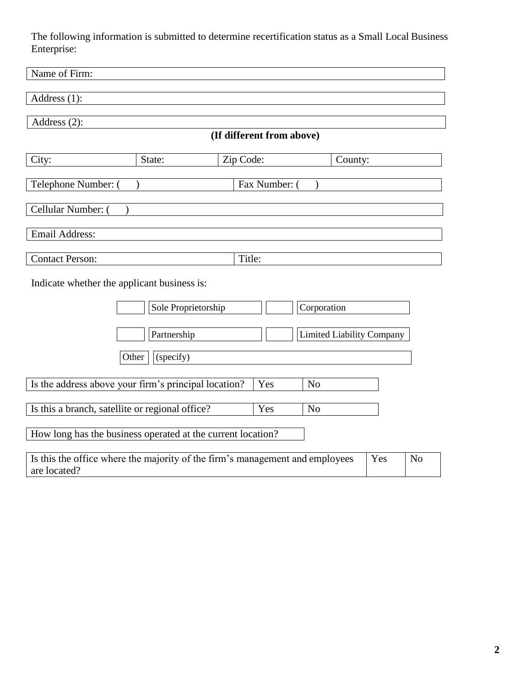The following information is submitted to determine recertification status as a Small Local Business Enterprise:

| Name of Firm:                                                                                                         |        |                           |         |  |  |
|-----------------------------------------------------------------------------------------------------------------------|--------|---------------------------|---------|--|--|
| Address (1):                                                                                                          |        |                           |         |  |  |
| Address $(2)$ :                                                                                                       |        |                           |         |  |  |
|                                                                                                                       |        | (If different from above) |         |  |  |
| City:                                                                                                                 | State: | Zip Code:                 | County: |  |  |
| Telephone Number: (                                                                                                   |        | Fax Number:               |         |  |  |
| Cellular Number: (                                                                                                    |        |                           |         |  |  |
| Email Address:                                                                                                        |        |                           |         |  |  |
| <b>Contact Person:</b>                                                                                                |        | Title:                    |         |  |  |
| Indicate whether the applicant business is:                                                                           |        |                           |         |  |  |
| Sole Proprietorship<br>Corporation                                                                                    |        |                           |         |  |  |
| <b>Limited Liability Company</b><br>Partnership                                                                       |        |                           |         |  |  |
| (specify)<br>Other                                                                                                    |        |                           |         |  |  |
| Is the address above your firm's principal location?<br>Yes<br>N <sub>o</sub>                                         |        |                           |         |  |  |
| Is this a branch, satellite or regional office?<br>Yes<br>N <sub>o</sub>                                              |        |                           |         |  |  |
| How long has the business operated at the current location?                                                           |        |                           |         |  |  |
| Is this the office where the majority of the firm's management and employees<br>Yes<br>N <sub>o</sub><br>are located? |        |                           |         |  |  |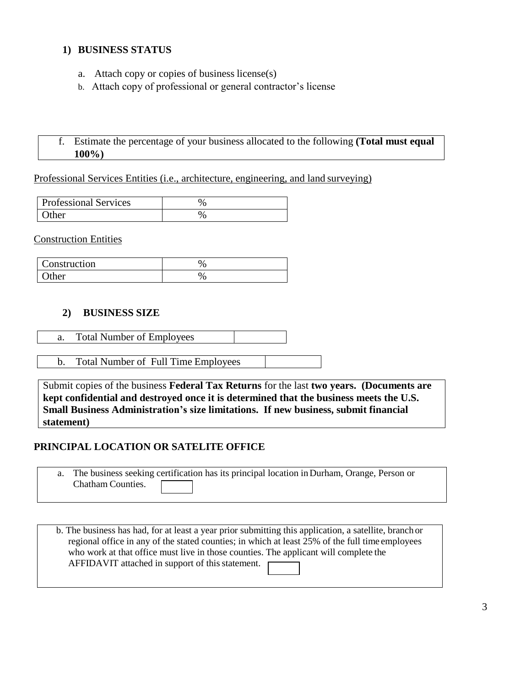#### **1) BUSINESS STATUS**

- a. Attach copy or copies of business license(s)
- b. Attach copy of professional or general contractor's license

### f. Estimate the percentage of your business allocated to the following **(Total must equal 100%)**

Professional Services Entities (i.e., architecture, engineering, and land surveying)

| <b>Professional Services</b> |  |
|------------------------------|--|
| $\int$ lther                 |  |

Construction Entities

| Construction |  |
|--------------|--|
| <b>Other</b> |  |

#### **2) BUSINESS SIZE**

- a. Total Number of Employees
- b. Total Number of Full Time Employees

Submit copies of the business **Federal Tax Returns** for the last **two years. (Documents are kept confidential and destroyed once it is determined that the business meets the U.S. Small Business Administration's size limitations. If new business, submit financial statement)**

#### **PRINCIPAL LOCATION OR SATELITE OFFICE**

|                   | a. The business seeking certification has its principal location in Durham, Orange, Person or |  |
|-------------------|-----------------------------------------------------------------------------------------------|--|
| Chatham Counties. |                                                                                               |  |

b. The business has had, for at least a year prior submitting this application, a satellite, branch or regional office in any of the stated counties; in which at least 25% of the full time employees who work at that office must live in those counties. The applicant will complete the AFFIDAVIT attached in support of this statement.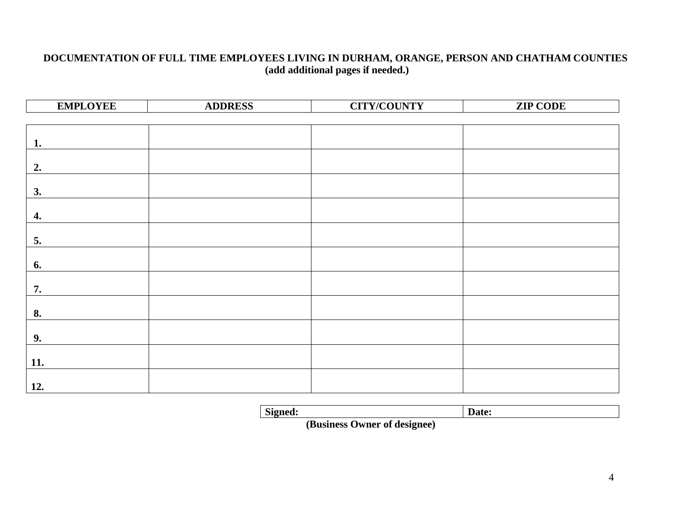### **DOCUMENTATION OF FULL TIME EMPLOYEES LIVING IN DURHAM, ORANGE, PERSON AND CHATHAM COUNTIES (add additional pages if needed.)**

| <b>EMPLOYEE</b> | <b>ADDRESS</b> | <b>CITY/COUNTY</b> | <b>ZIP CODE</b> |
|-----------------|----------------|--------------------|-----------------|
|                 |                |                    |                 |
|                 |                |                    |                 |
| 1.              |                |                    |                 |
|                 |                |                    |                 |
| 2.              |                |                    |                 |
|                 |                |                    |                 |
| 3.              |                |                    |                 |
|                 |                |                    |                 |
| 4.              |                |                    |                 |
| 5.              |                |                    |                 |
|                 |                |                    |                 |
| 6.              |                |                    |                 |
|                 |                |                    |                 |
| 7.              |                |                    |                 |
|                 |                |                    |                 |
| 8.              |                |                    |                 |
|                 |                |                    |                 |
| 9.              |                |                    |                 |
| 11.             |                |                    |                 |
|                 |                |                    |                 |
| $\vert$ 12.     |                |                    |                 |

| Signed: | Date: |
|---------|-------|
|         |       |

 **(Business Owner of designee)**